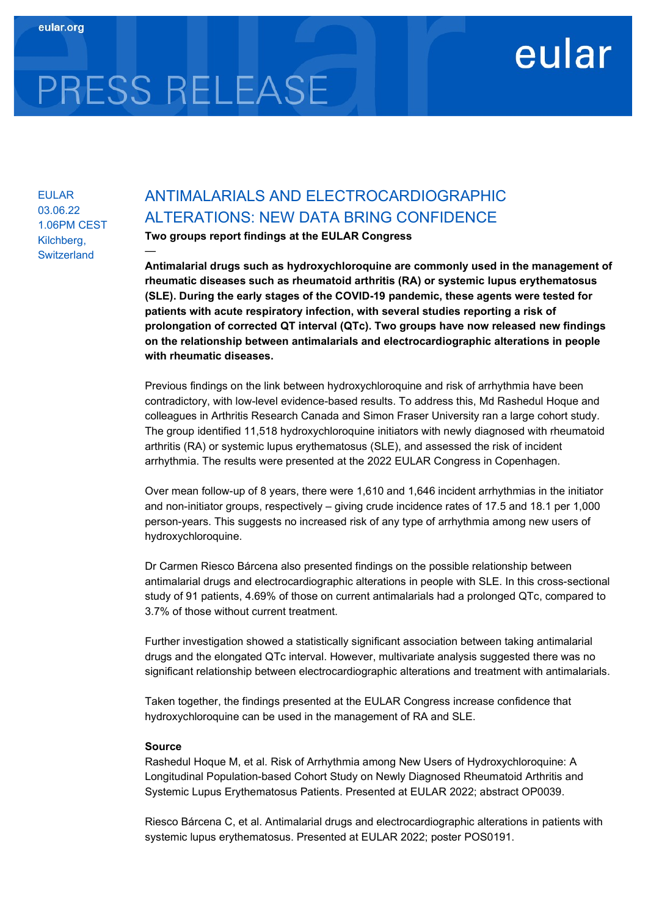# eular

EULAR 03.06.22 1.06PM CEST Kilchberg, **Switzerland** 

—

PRESS RELEASE

## ANTIMALARIALS AND ELECTROCARDIOGRAPHIC ALTERATIONS: NEW DATA BRING CONFIDENCE

Two groups report findings at the EULAR Congress

Antimalarial drugs such as hydroxychloroquine are commonly used in the management of rheumatic diseases such as rheumatoid arthritis (RA) or systemic lupus erythematosus (SLE). During the early stages of the COVID-19 pandemic, these agents were tested for patients with acute respiratory infection, with several studies reporting a risk of prolongation of corrected QT interval (QTc). Two groups have now released new findings on the relationship between antimalarials and electrocardiographic alterations in people with rheumatic diseases.

Previous findings on the link between hydroxychloroquine and risk of arrhythmia have been contradictory, with low-level evidence-based results. To address this, Md Rashedul Hoque and colleagues in Arthritis Research Canada and Simon Fraser University ran a large cohort study. The group identified 11,518 hydroxychloroquine initiators with newly diagnosed with rheumatoid arthritis (RA) or systemic lupus erythematosus (SLE), and assessed the risk of incident arrhythmia. The results were presented at the 2022 EULAR Congress in Copenhagen.

Over mean follow-up of 8 years, there were 1,610 and 1,646 incident arrhythmias in the initiator and non-initiator groups, respectively – giving crude incidence rates of 17.5 and 18.1 per 1,000 person-years. This suggests no increased risk of any type of arrhythmia among new users of hydroxychloroquine.

Dr Carmen Riesco Bárcena also presented findings on the possible relationship between antimalarial drugs and electrocardiographic alterations in people with SLE. In this cross-sectional study of 91 patients, 4.69% of those on current antimalarials had a prolonged QTc, compared to 3.7% of those without current treatment.

Further investigation showed a statistically significant association between taking antimalarial drugs and the elongated QTc interval. However, multivariate analysis suggested there was no significant relationship between electrocardiographic alterations and treatment with antimalarials.

Taken together, the findings presented at the EULAR Congress increase confidence that hydroxychloroquine can be used in the management of RA and SLE.

#### Source

Rashedul Hoque M, et al. Risk of Arrhythmia among New Users of Hydroxychloroquine: A Longitudinal Population-based Cohort Study on Newly Diagnosed Rheumatoid Arthritis and Systemic Lupus Erythematosus Patients. Presented at EULAR 2022; abstract OP0039.

Riesco Bárcena C, et al. Antimalarial drugs and electrocardiographic alterations in patients with systemic lupus erythematosus. Presented at EULAR 2022; poster POS0191.